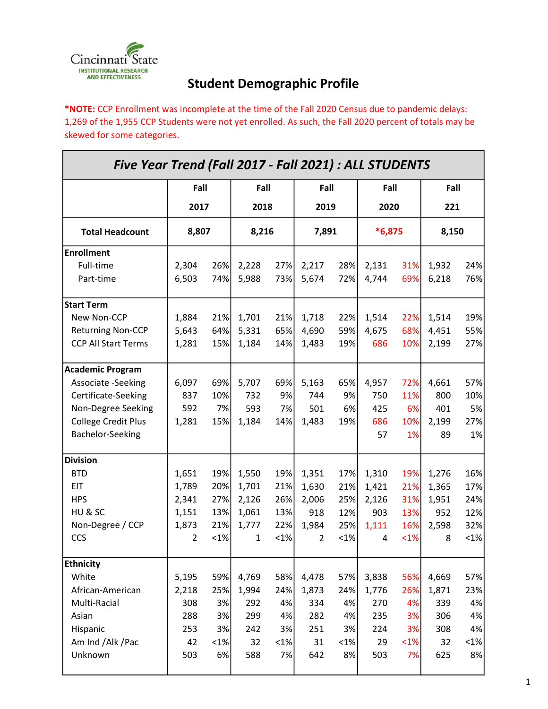

## Student Demographic Profile

\*NOTE: CCP Enrollment was incomplete at the time of the Fall 2020 Census due to pandemic delays: 1,269 of the 1,955 CCP Students were not yet enrolled. As such, the Fall 2020 percent of totals may be skewed for some categories.

| Five Year Trend (Fall 2017 - Fall 2021) : ALL STUDENTS |                |         |               |         |                |         |                  |         |              |         |  |
|--------------------------------------------------------|----------------|---------|---------------|---------|----------------|---------|------------------|---------|--------------|---------|--|
|                                                        |                | Fall    |               | Fall    |                | Fall    |                  | Fall    |              | Fall    |  |
|                                                        | 2017<br>8,807  |         | 2018<br>8,216 |         | 2019<br>7,891  |         | 2020<br>$*6,875$ |         | 221<br>8,150 |         |  |
| <b>Total Headcount</b>                                 |                |         |               |         |                |         |                  |         |              |         |  |
| <b>Enrollment</b>                                      |                |         |               |         |                |         |                  |         |              |         |  |
| Full-time                                              | 2,304          | 26%     | 2,228         | 27%     | 2,217          | 28%     | 2,131            | 31%     | 1,932        | 24%     |  |
| Part-time                                              | 6,503          | 74%     | 5,988         | 73%     | 5,674          | 72%     | 4,744            | 69%     | 6,218        | 76%     |  |
| <b>Start Term</b>                                      |                |         |               |         |                |         |                  |         |              |         |  |
| New Non-CCP                                            | 1,884          | 21%     | 1,701         | 21%     | 1,718          | 22%     | 1,514            | 22%     | 1,514        | 19%     |  |
| <b>Returning Non-CCP</b>                               | 5,643          | 64%     | 5,331         | 65%     | 4,690          | 59%     | 4,675            | 68%     | 4,451        | 55%     |  |
| <b>CCP All Start Terms</b>                             | 1,281          | 15%     | 1,184         | 14%     | 1,483          | 19%     | 686              | 10%     | 2,199        | 27%     |  |
| <b>Academic Program</b>                                |                |         |               |         |                |         |                  |         |              |         |  |
| Associate -Seeking                                     | 6,097          | 69%     | 5,707         | 69%     | 5,163          | 65%     | 4,957            | 72%     | 4,661        | 57%     |  |
| Certificate-Seeking                                    | 837            | 10%     | 732           | 9%      | 744            | 9%      | 750              | 11%     | 800          | 10%     |  |
| Non-Degree Seeking                                     | 592            | 7%      | 593           | 7%      | 501            | 6%      | 425              | 6%      | 401          | 5%      |  |
| <b>College Credit Plus</b>                             | 1,281          | 15%     | 1,184         | 14%     | 1,483          | 19%     | 686              | 10%     | 2,199        | 27%     |  |
| Bachelor-Seeking                                       |                |         |               |         |                |         | 57               | 1%      | 89           | 1%      |  |
| <b>Division</b>                                        |                |         |               |         |                |         |                  |         |              |         |  |
| <b>BTD</b>                                             | 1,651          | 19%     | 1,550         | 19%     | 1,351          | 17%     | 1,310            | 19%     | 1,276        | 16%     |  |
| <b>EIT</b>                                             | 1,789          | 20%     | 1,701         | 21%     | 1,630          | 21%     | 1,421            | 21%     | 1,365        | 17%     |  |
| <b>HPS</b>                                             | 2,341          | 27%     | 2,126         | 26%     | 2,006          | 25%     | 2,126            | 31%     | 1,951        | 24%     |  |
| HU & SC                                                | 1,151          | 13%     | 1,061         | 13%     | 918            | 12%     | 903              | 13%     | 952          | 12%     |  |
| Non-Degree / CCP                                       | 1,873          | 21%     | 1,777         | 22%     | 1,984          | 25%     | 1,111            | 16%     | 2,598        | 32%     |  |
| <b>CCS</b>                                             | $\overline{2}$ | $< 1\%$ | 1             | $< 1\%$ | $\overline{2}$ | $< 1\%$ | 4                | $< 1\%$ | 8            | $ 1\% $ |  |
| <b>Ethnicity</b>                                       |                |         |               |         |                |         |                  |         |              |         |  |
| White                                                  | 5,195          | 59%     | 4,769         | 58%     | 4,478          | 57%     | 3,838            | 56%     | 4,669        | 57%     |  |
| African-American                                       | 2,218          | 25%     | 1,994         | 24%     | 1,873          | 24%     | 1,776            | 26%     | 1,871        | 23%     |  |
| Multi-Racial                                           | 308            | 3%      | 292           | 4%      | 334            | 4%      | 270              | 4%      | 339          | 4%      |  |
| Asian                                                  | 288            | 3%      | 299           | 4%      | 282            | 4%      | 235              | 3%      | 306          | 4%      |  |
| Hispanic                                               | 253            | 3%      | 242           | 3%      | 251            | 3%      | 224              | 3%      | 308          | 4%      |  |
| Am Ind /Alk /Pac                                       | 42             | $< 1\%$ | 32            | $< 1\%$ | 31             | $< 1\%$ | 29               | $<1\%$  | 32           | $< 1\%$ |  |
| Unknown                                                | 503            | 6%      | 588           | 7%      | 642            | 8%      | 503              | 7%      | 625          | 8%      |  |